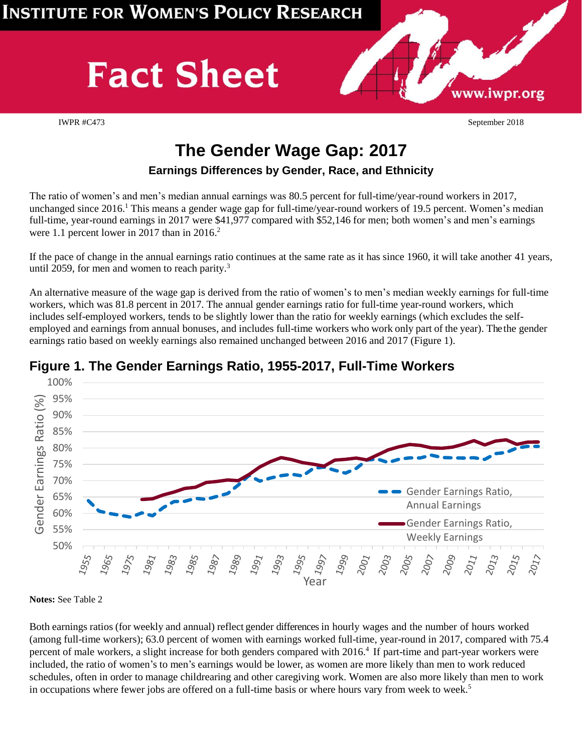# **Fact Sheet**

IWPR #C473 September 2018

www.iwpr.org

# **The Gender Wage Gap: 2017**

#### **Earnings Differences by Gender, Race, and Ethnicity**

The ratio of women's and men's median annual earnings was 80.5 percent for full-time/year-round workers in 2017, unchanged since 2016. <sup>1</sup> This means a gender wage gap for full-time/year-round workers of 19.5 percent. Women's median full-time, year-round earnings in 2017 were \$41,977 compared with \$52,146 for men; both women's and men's earnings were 1.1 percent lower in 2017 than in 2016.<sup>2</sup>

If the pace of change in the annual earnings ratio continues at the same rate as it has since 1960, it will take another 41 years, until 2059, for men and women to reach parity.<sup>3</sup>

An alternative measure of the wage gap is derived from the ratio of women's to men's median weekly earnings for full-time workers, which was 81.8 percent in 2017. The annual gender earnings ratio for full-time year-round workers, which includes self-employed workers, tends to be slightly lower than the ratio for weekly earnings (which excludes the selfemployed and earnings from annual bonuses, and includes full-time workers who work only part of the year). The the gender earnings ratio based on weekly earnings also remained unchanged between 2016 and 2017 (Figure 1).



#### **Figure 1. The Gender Earnings Ratio, 1955-2017, Full-Time Workers**

**Notes:** See Table 2

Both earnings ratios (for weekly and annual) reflect gender differences in hourly wages and the number of hours worked (among full-time workers); 63.0 percent of women with earnings worked full-time, year-round in 2017, compared with 75.4 percent of male workers, a slight increase for both genders compared with 2016. 4 If part-time and part-year workers were included, the ratio of women's to men's earnings would be lower, as women are more likely than men to work reduced schedules, often in order to manage childrearing and other caregiving work. Women are also more likely than men to work in occupations where fewer jobs are offered on a full-time basis or where hours vary from week to week. 5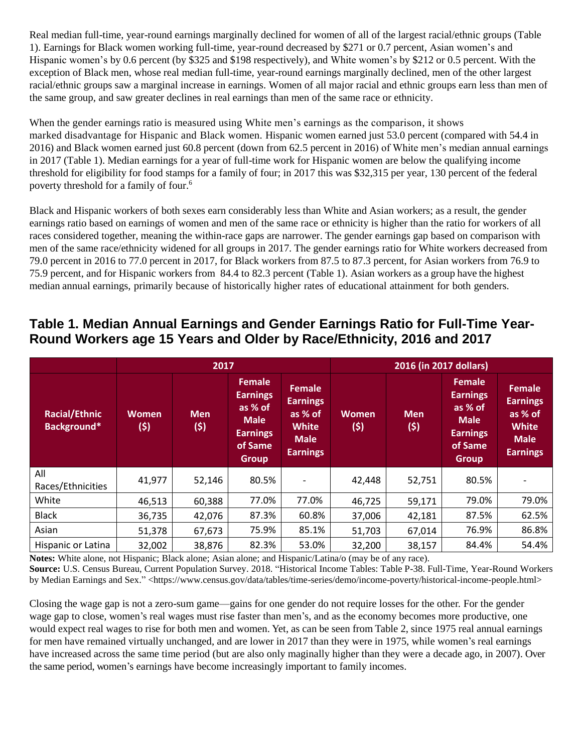Real median full-time, year-round earnings marginally declined for women of all of the largest racial/ethnic groups (Table 1). Earnings for Black women working full-time, year-round decreased by \$271 or 0.7 percent, Asian women's and Hispanic women's by 0.6 percent (by \$325 and \$198 respectively), and White women's by \$212 or 0.5 percent. With the exception of Black men, whose real median full-time, year-round earnings marginally declined, men of the other largest racial/ethnic groups saw a marginal increase in earnings. Women of all major racial and ethnic groups earn less than men of the same group, and saw greater declines in real earnings than men of the same race or ethnicity.

When the gender earnings ratio is measured using White men's earnings as the comparison, it shows marked disadvantage for Hispanic and Black women. Hispanic women earned just 53.0 percent (compared with 54.4 in 2016) and Black women earned just 60.8 percent (down from 62.5 percent in 2016) of White men's median annual earnings in 2017 (Table 1). Median earnings for a year of full-time work for Hispanic women are below the qualifying income threshold for eligibility for food stamps for a family of four; in 2017 this was \$32,315 per year, 130 percent of the federal poverty threshold for a family of four.<sup>6</sup>

Black and Hispanic workers of both sexes earn considerably less than White and Asian workers; as a result, the gender earnings ratio based on earnings of women and men of the same race or ethnicity is higher than the ratio for workers of all races considered together, meaning the within-race gaps are narrower. The gender earnings gap based on comparison with men of the same race/ethnicity widened for all groups in 2017. The gender earnings ratio for White workers decreased from 79.0 percent in 2016 to 77.0 percent in 2017, for Black workers from 87.5 to 87.3 percent, for Asian workers from 76.9 to 75.9 percent, and for Hispanic workers from 84.4 to 82.3 percent (Table 1). Asian workers as a group have the highest median annual earnings, primarily because of historically higher rates of educational attainment for both genders.

## **Table 1. Median Annual Earnings and Gender Earnings Ratio for Full-Time Year-Round Workers age 15 Years and Older by Race/Ethnicity, 2016 and 2017**

|                                     |                     | 2017              |                                                                                                          |                                                                                               | 2016 (in 2017 dollars) |                   |                                                                                                          |                                                                                               |
|-------------------------------------|---------------------|-------------------|----------------------------------------------------------------------------------------------------------|-----------------------------------------------------------------------------------------------|------------------------|-------------------|----------------------------------------------------------------------------------------------------------|-----------------------------------------------------------------------------------------------|
| <b>Racial/Ethnic</b><br>Background* | <b>Women</b><br>(5) | <b>Men</b><br>(5) | <b>Female</b><br><b>Earnings</b><br>as % of<br><b>Male</b><br><b>Earnings</b><br>of Same<br><b>Group</b> | <b>Female</b><br><b>Earnings</b><br>as % of<br><b>White</b><br><b>Male</b><br><b>Earnings</b> | <b>Women</b><br>(5)    | <b>Men</b><br>(5) | <b>Female</b><br><b>Earnings</b><br>as % of<br><b>Male</b><br><b>Earnings</b><br>of Same<br><b>Group</b> | <b>Female</b><br><b>Earnings</b><br>as % of<br><b>White</b><br><b>Male</b><br><b>Earnings</b> |
| All<br>Races/Ethnicities            | 41,977              | 52,146            | 80.5%                                                                                                    |                                                                                               | 42,448                 | 52,751            | 80.5%                                                                                                    |                                                                                               |
| White                               | 46,513              | 60,388            | 77.0%                                                                                                    | 77.0%                                                                                         | 46,725                 | 59,171            | 79.0%                                                                                                    | 79.0%                                                                                         |
| <b>Black</b>                        | 36,735              | 42,076            | 87.3%                                                                                                    | 60.8%                                                                                         | 37,006                 | 42,181            | 87.5%                                                                                                    | 62.5%                                                                                         |
| Asian                               | 51,378              | 67,673            | 75.9%                                                                                                    | 85.1%                                                                                         | 51,703                 | 67,014            | 76.9%                                                                                                    | 86.8%                                                                                         |
| Hispanic or Latina                  | 32,002              | 38,876            | 82.3%                                                                                                    | 53.0%                                                                                         | 32,200                 | 38,157            | 84.4%                                                                                                    | 54.4%                                                                                         |

**Notes:** White alone, not Hispanic; Black alone; Asian alone; and Hispanic/Latina/o (may be of any race).

**Source:** U.S. Census Bureau, Current Population Survey. 2018. "Historical Income Tables: Table P-38. Full-Time, Year-Round Workers by Median Earnings and Sex." <https://www.census.gov/data/tables/time-series/demo/income-poverty/historical-income-people.html>

Closing the wage gap is not a zero-sum game—gains for one gender do not require losses for the other. For the gender wage gap to close, women's real wages must rise faster than men's, and as the economy becomes more productive, one would expect real wages to rise for both men and women. Yet, as can be seen from Table 2, since 1975 real annual earnings for men have remained virtually unchanged, and are lower in 2017 than they were in 1975, while women's real earnings have increased across the same time period (but are also only maginally higher than they were a decade ago, in 2007). Over the same period, women's earnings have become increasingly important to family incomes.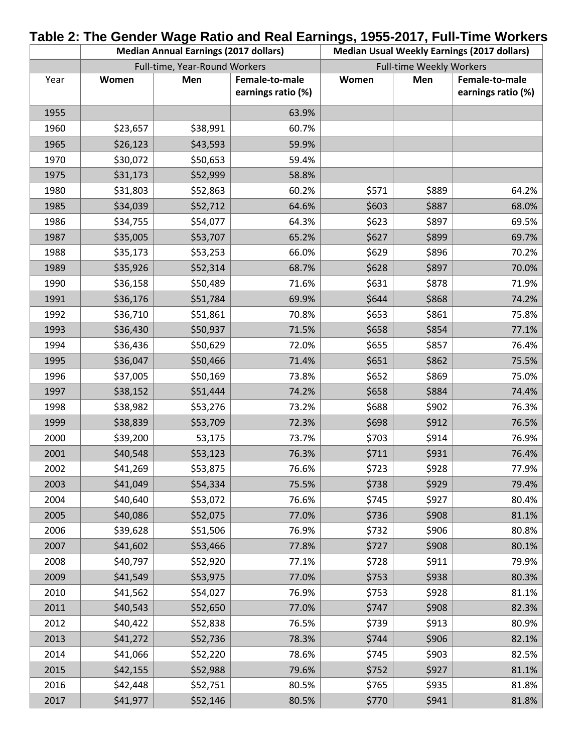|      |          | <b>Median Annual Earnings (2017 dollars)</b> |                                      | Table 2: The Gender Wage Ratio and Real Earnings, 1955-2017, Full-Time Workers<br><b>Median Usual Weekly Earnings (2017 dollars)</b> |       |                                      |  |
|------|----------|----------------------------------------------|--------------------------------------|--------------------------------------------------------------------------------------------------------------------------------------|-------|--------------------------------------|--|
|      |          | Full-time, Year-Round Workers                |                                      | <b>Full-time Weekly Workers</b>                                                                                                      |       |                                      |  |
| Year | Women    | Men                                          | Female-to-male<br>earnings ratio (%) | Women                                                                                                                                | Men   | Female-to-male<br>earnings ratio (%) |  |
| 1955 |          |                                              | 63.9%                                |                                                                                                                                      |       |                                      |  |
| 1960 | \$23,657 | \$38,991                                     | 60.7%                                |                                                                                                                                      |       |                                      |  |
| 1965 | \$26,123 | \$43,593                                     | 59.9%                                |                                                                                                                                      |       |                                      |  |
| 1970 | \$30,072 | \$50,653                                     | 59.4%                                |                                                                                                                                      |       |                                      |  |
| 1975 | \$31,173 | \$52,999                                     | 58.8%                                |                                                                                                                                      |       |                                      |  |
| 1980 | \$31,803 | \$52,863                                     | 60.2%                                | \$571                                                                                                                                | \$889 | 64.2%                                |  |
| 1985 | \$34,039 | \$52,712                                     | 64.6%                                | \$603                                                                                                                                | \$887 | 68.0%                                |  |
| 1986 | \$34,755 | \$54,077                                     | 64.3%                                | \$623                                                                                                                                | \$897 | 69.5%                                |  |
| 1987 | \$35,005 | \$53,707                                     | 65.2%                                | \$627                                                                                                                                | \$899 | 69.7%                                |  |
| 1988 | \$35,173 | \$53,253                                     | 66.0%                                | \$629                                                                                                                                | \$896 | 70.2%                                |  |
| 1989 | \$35,926 | \$52,314                                     | 68.7%                                | \$628                                                                                                                                | \$897 | 70.0%                                |  |
| 1990 | \$36,158 | \$50,489                                     | 71.6%                                | \$631                                                                                                                                | \$878 | 71.9%                                |  |
| 1991 | \$36,176 | \$51,784                                     | 69.9%                                | \$644                                                                                                                                | \$868 | 74.2%                                |  |
| 1992 | \$36,710 | \$51,861                                     | 70.8%                                | \$653                                                                                                                                | \$861 | 75.8%                                |  |
| 1993 | \$36,430 | \$50,937                                     | 71.5%                                | \$658                                                                                                                                | \$854 | 77.1%                                |  |
| 1994 | \$36,436 | \$50,629                                     | 72.0%                                | \$655                                                                                                                                | \$857 | 76.4%                                |  |
| 1995 | \$36,047 | \$50,466                                     | 71.4%                                | \$651                                                                                                                                | \$862 | 75.5%                                |  |
| 1996 | \$37,005 | \$50,169                                     | 73.8%                                | \$652                                                                                                                                | \$869 | 75.0%                                |  |
| 1997 | \$38,152 | \$51,444                                     | 74.2%                                | \$658                                                                                                                                | \$884 | 74.4%                                |  |
| 1998 | \$38,982 | \$53,276                                     | 73.2%                                | \$688                                                                                                                                | \$902 | 76.3%                                |  |
| 1999 | \$38,839 | \$53,709                                     | 72.3%                                | \$698                                                                                                                                | \$912 | 76.5%                                |  |
| 2000 | \$39,200 | 53,175                                       | 73.7%                                | \$703                                                                                                                                | \$914 | 76.9%                                |  |
| 2001 | \$40,548 | \$53,123                                     | 76.3%                                | \$711                                                                                                                                | \$931 | 76.4%                                |  |
| 2002 | \$41,269 | \$53,875                                     | 76.6%                                | \$723                                                                                                                                | \$928 | 77.9%                                |  |
| 2003 | \$41,049 | \$54,334                                     | 75.5%                                | \$738                                                                                                                                | \$929 | 79.4%                                |  |
| 2004 | \$40,640 | \$53,072                                     | 76.6%                                | \$745                                                                                                                                | \$927 | 80.4%                                |  |
| 2005 | \$40,086 | \$52,075                                     | 77.0%                                | \$736                                                                                                                                | \$908 | 81.1%                                |  |
| 2006 | \$39,628 | \$51,506                                     | 76.9%                                | \$732                                                                                                                                | \$906 | 80.8%                                |  |
| 2007 | \$41,602 | \$53,466                                     | 77.8%                                | \$727                                                                                                                                | \$908 | 80.1%                                |  |
| 2008 | \$40,797 | \$52,920                                     | 77.1%                                | \$728                                                                                                                                | \$911 | 79.9%                                |  |
| 2009 | \$41,549 | \$53,975                                     | 77.0%                                | \$753                                                                                                                                | \$938 | 80.3%                                |  |
| 2010 | \$41,562 | \$54,027                                     | 76.9%                                | \$753                                                                                                                                | \$928 | 81.1%                                |  |
| 2011 | \$40,543 | \$52,650                                     | 77.0%                                | \$747                                                                                                                                | \$908 | 82.3%                                |  |
| 2012 | \$40,422 | \$52,838                                     | 76.5%                                | \$739                                                                                                                                | \$913 | 80.9%                                |  |
| 2013 | \$41,272 | \$52,736                                     | 78.3%                                | \$744                                                                                                                                | \$906 | 82.1%                                |  |
| 2014 | \$41,066 | \$52,220                                     | 78.6%                                | \$745                                                                                                                                | \$903 | 82.5%                                |  |
| 2015 | \$42,155 | \$52,988                                     | 79.6%                                | \$752                                                                                                                                | \$927 | 81.1%                                |  |
| 2016 | \$42,448 | \$52,751                                     | 80.5%                                | \$765                                                                                                                                | \$935 | 81.8%                                |  |
| 2017 | \$41,977 | \$52,146                                     | 80.5%                                | \$770                                                                                                                                | \$941 | 81.8%                                |  |